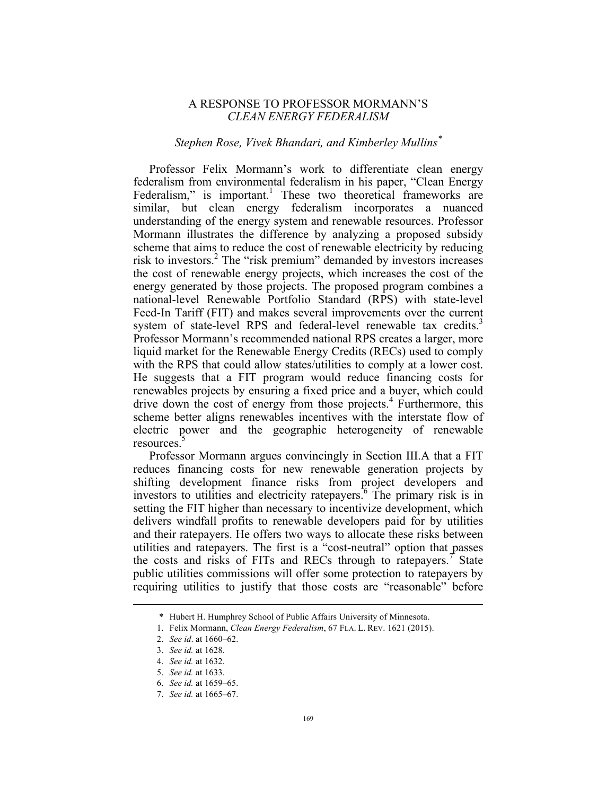## A RESPONSE TO PROFESSOR MORMANN'S *CLEAN ENERGY FEDERALISM*

## *Stephen Rose, Vivek Bhandari, and Kimberley Mullins\**

Professor Felix Mormann's work to differentiate clean energy federalism from environmental federalism in his paper, "Clean Energy Federalism," is important.<sup>1</sup> These two theoretical frameworks are similar, but clean energy federalism incorporates a nuanced understanding of the energy system and renewable resources. Professor Mormann illustrates the difference by analyzing a proposed subsidy scheme that aims to reduce the cost of renewable electricity by reducing risk to investors.<sup>2</sup> The "risk premium" demanded by investors increases the cost of renewable energy projects, which increases the cost of the energy generated by those projects. The proposed program combines a national-level Renewable Portfolio Standard (RPS) with state-level Feed-In Tariff (FIT) and makes several improvements over the current system of state-level RPS and federal-level renewable tax credits.<sup>3</sup> Professor Mormann's recommended national RPS creates a larger, more liquid market for the Renewable Energy Credits (RECs) used to comply with the RPS that could allow states/utilities to comply at a lower cost. He suggests that a FIT program would reduce financing costs for renewables projects by ensuring a fixed price and a buyer, which could drive down the cost of energy from those projects.<sup>4</sup> Furthermore, this scheme better aligns renewables incentives with the interstate flow of electric power and the geographic heterogeneity of renewable resources.

Professor Mormann argues convincingly in Section III.A that a FIT reduces financing costs for new renewable generation projects by shifting development finance risks from project developers and investors to utilities and electricity ratepayers.<sup>6</sup> The primary risk is in setting the FIT higher than necessary to incentivize development, which delivers windfall profits to renewable developers paid for by utilities and their ratepayers. He offers two ways to allocate these risks between utilities and ratepayers. The first is a "cost-neutral" option that passes the costs and risks of FITs and RECs through to ratepayers.<sup>7</sup> State public utilities commissions will offer some protection to ratepayers by requiring utilities to justify that those costs are "reasonable" before

<u>.</u>

<sup>\*</sup> Hubert H. Humphrey School of Public Affairs University of Minnesota.

<sup>1.</sup> Felix Mormann, *Clean Energy Federalism*, 67 FLA. L. REV. 1621 (2015).

<sup>2.</sup> *See id*. at 1660–62.

<sup>3.</sup> *See id.* at 1628.

<sup>4.</sup> *See id.* at 1632.

<sup>5.</sup> *See id.* at 1633.

<sup>6.</sup> *See id.* at 1659–65.

<sup>7.</sup> *See id.* at 1665–67.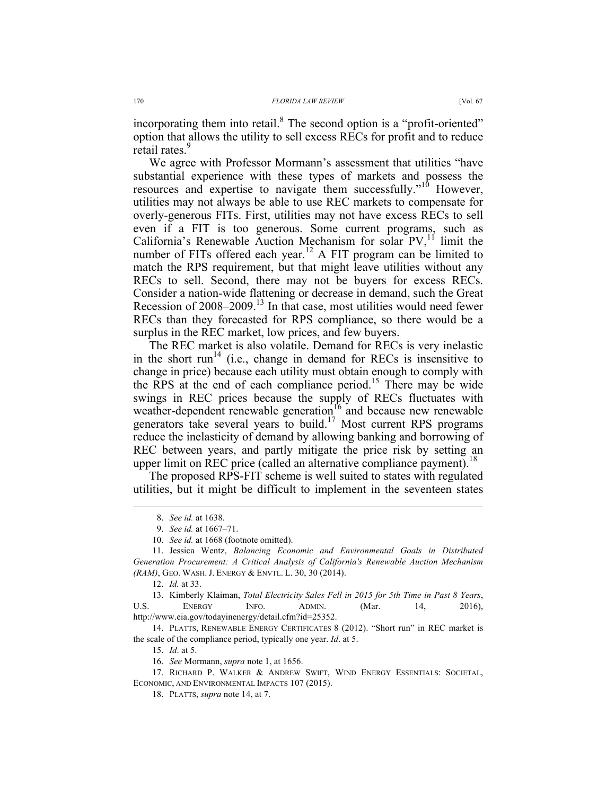incorporating them into retail.<sup>8</sup> The second option is a "profit-oriented" option that allows the utility to sell excess RECs for profit and to reduce retail rates.<sup>9</sup>

We agree with Professor Mormann's assessment that utilities "have substantial experience with these types of markets and possess the resources and expertise to navigate them successfully."<sup>10</sup> However, utilities may not always be able to use REC markets to compensate for overly-generous FITs. First, utilities may not have excess RECs to sell even if a FIT is too generous. Some current programs, such as California's Renewable Auction Mechanism for solar  $PV<sub>1</sub><sup>11</sup>$  limit the number of FITs offered each year.<sup>12</sup> A FIT program can be limited to match the RPS requirement, but that might leave utilities without any RECs to sell. Second, there may not be buyers for excess RECs. Consider a nation-wide flattening or decrease in demand, such the Great Recession of 2008–2009. <sup>13</sup> In that case, most utilities would need fewer RECs than they forecasted for RPS compliance, so there would be a surplus in the REC market, low prices, and few buyers.

The REC market is also volatile. Demand for RECs is very inelastic in the short run<sup>14</sup> (i.e., change in demand for RECs is insensitive to change in price) because each utility must obtain enough to comply with the RPS at the end of each compliance period. <sup>15</sup> There may be wide swings in REC prices because the supply of RECs fluctuates with weather-dependent renewable generation<sup>16</sup> and because new renewable generators take several years to build.<sup>17</sup> Most current RPS programs reduce the inelasticity of demand by allowing banking and borrowing of REC between years, and partly mitigate the price risk by setting an upper limit on REC price (called an alternative compliance payment).<sup>18</sup>

The proposed RPS-FIT scheme is well suited to states with regulated utilities, but it might be difficult to implement in the seventeen states

14. PLATTS, RENEWABLE ENERGY CERTIFICATES 8 (2012). "Short run" in REC market is the scale of the compliance period, typically one year. *Id*. at 5.

 <sup>8.</sup> *See id.* at 1638.

<sup>9.</sup> *See id.* at 1667–71.

<sup>10.</sup> *See id.* at 1668 (footnote omitted).

<sup>11.</sup> Jessica Wentz, *Balancing Economic and Environmental Goals in Distributed Generation Procurement: A Critical Analysis of California's Renewable Auction Mechanism (RAM)*, GEO. WASH. J. ENERGY & ENVTL. L. 30, 30 (2014).

<sup>12.</sup> *Id.* at 33.

<sup>13.</sup> Kimberly Klaiman, *Total Electricity Sales Fell in 2015 for 5th Time in Past 8 Years*, U.S. ENERGY INFO. ADMIN. (Mar. 14, 2016), http://www.eia.gov/todayinenergy/detail.cfm?id=25352.

<sup>15.</sup> *Id*. at 5.

<sup>16.</sup> *See* Mormann, *supra* note 1, at 1656.

<sup>17.</sup> RICHARD P. WALKER & ANDREW SWIFT, WIND ENERGY ESSENTIALS: SOCIETAL, ECONOMIC, AND ENVIRONMENTAL IMPACTS 107 (2015).

<sup>18.</sup> PLATTS, *supra* note 14, at 7.